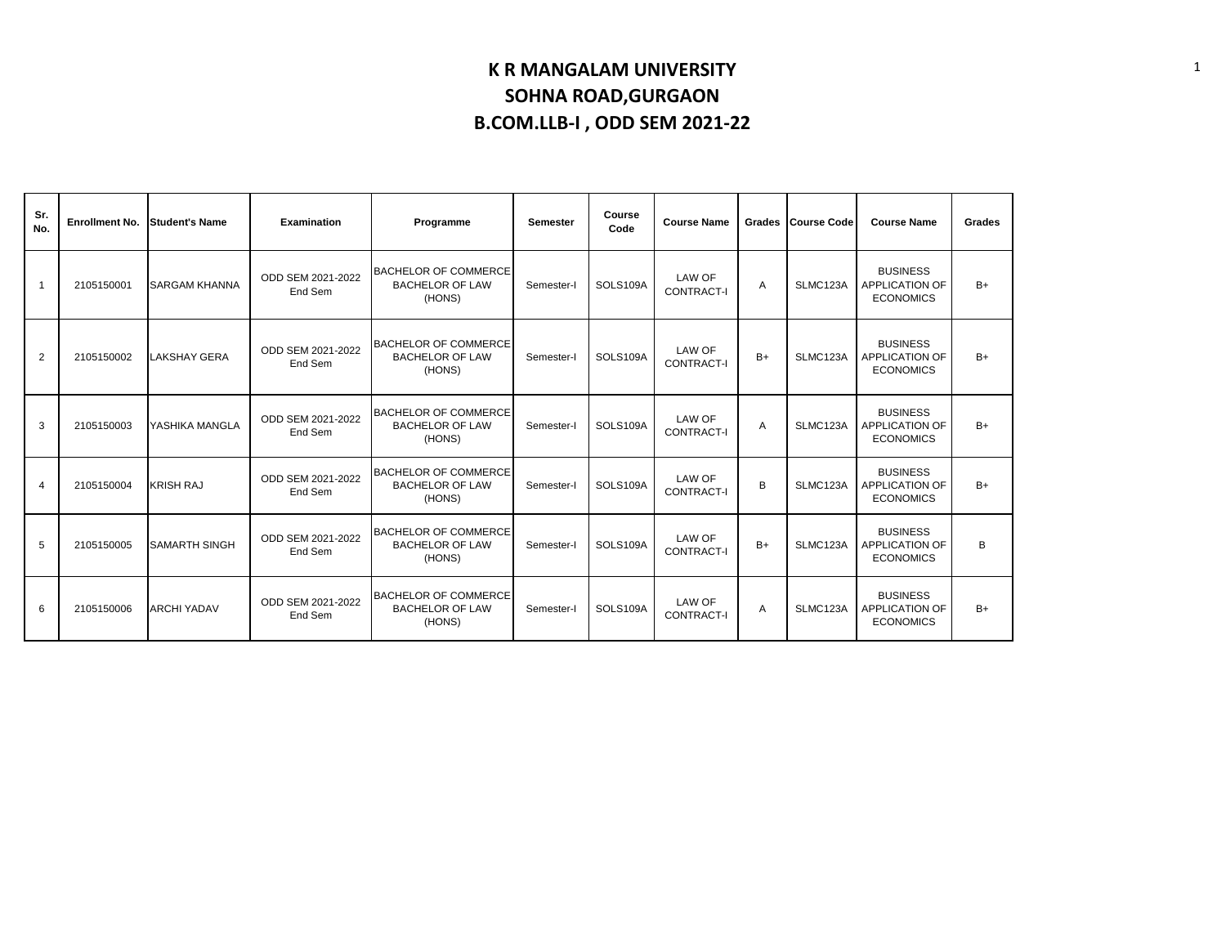| Sr.<br>No.     | <b>Enrollment No.</b> | <b>Student's Name</b> | Examination                  | Programme                                                       | <b>Semester</b> | Course<br>Code | <b>Course Name</b>                 |      | Grades Course Code | <b>Course Name</b>                                           | Grades |
|----------------|-----------------------|-----------------------|------------------------------|-----------------------------------------------------------------|-----------------|----------------|------------------------------------|------|--------------------|--------------------------------------------------------------|--------|
| $\mathbf{1}$   | 2105150001            | <b>SARGAM KHANNA</b>  | ODD SEM 2021-2022<br>End Sem | <b>BACHELOR OF COMMERCE</b><br><b>BACHELOR OF LAW</b><br>(HONS) | Semester-I      | SOLS109A       | <b>LAW OF</b><br><b>CONTRACT-I</b> | A    | SLMC123A           | <b>BUSINESS</b><br><b>APPLICATION OF</b><br><b>ECONOMICS</b> | $B+$   |
| 2              | 2105150002            | LAKSHAY GERA          | ODD SEM 2021-2022<br>End Sem | <b>BACHELOR OF COMMERCE</b><br><b>BACHELOR OF LAW</b><br>(HONS) | Semester-I      | SOLS109A       | <b>LAW OF</b><br>CONTRACT-I        | $B+$ | SLMC123A           | <b>BUSINESS</b><br><b>APPLICATION OF</b><br><b>ECONOMICS</b> | $B+$   |
| 3              | 2105150003            | YASHIKA MANGLA        | ODD SEM 2021-2022<br>End Sem | <b>BACHELOR OF COMMERCE</b><br><b>BACHELOR OF LAW</b><br>(HONS) | Semester-I      | SOLS109A       | LAW OF<br><b>CONTRACT-I</b>        | A    | SLMC123A           | <b>BUSINESS</b><br><b>APPLICATION OF</b><br><b>ECONOMICS</b> | $B+$   |
| $\overline{4}$ | 2105150004            | <b>KRISH RAJ</b>      | ODD SEM 2021-2022<br>End Sem | <b>BACHELOR OF COMMERCE</b><br><b>BACHELOR OF LAW</b><br>(HONS) | Semester-I      | SOLS109A       | LAW OF<br><b>CONTRACT-I</b>        | B    | SLMC123A           | <b>BUSINESS</b><br>APPLICATION OF<br><b>ECONOMICS</b>        | $B+$   |
| 5              | 2105150005            | <b>SAMARTH SINGH</b>  | ODD SEM 2021-2022<br>End Sem | <b>BACHELOR OF COMMERCE</b><br><b>BACHELOR OF LAW</b><br>(HONS) | Semester-I      | SOLS109A       | LAW OF<br><b>CONTRACT-I</b>        | $B+$ | SLMC123A           | <b>BUSINESS</b><br><b>APPLICATION OF</b><br><b>ECONOMICS</b> | B      |
| 6              | 2105150006            | <b>ARCHI YADAV</b>    | ODD SEM 2021-2022<br>End Sem | <b>BACHELOR OF COMMERCE</b><br><b>BACHELOR OF LAW</b><br>(HONS) | Semester-I      | SOLS109A       | <b>LAW OF</b><br>CONTRACT-I        | A    | SLMC123A           | <b>BUSINESS</b><br><b>APPLICATION OF</b><br><b>ECONOMICS</b> | $B+$   |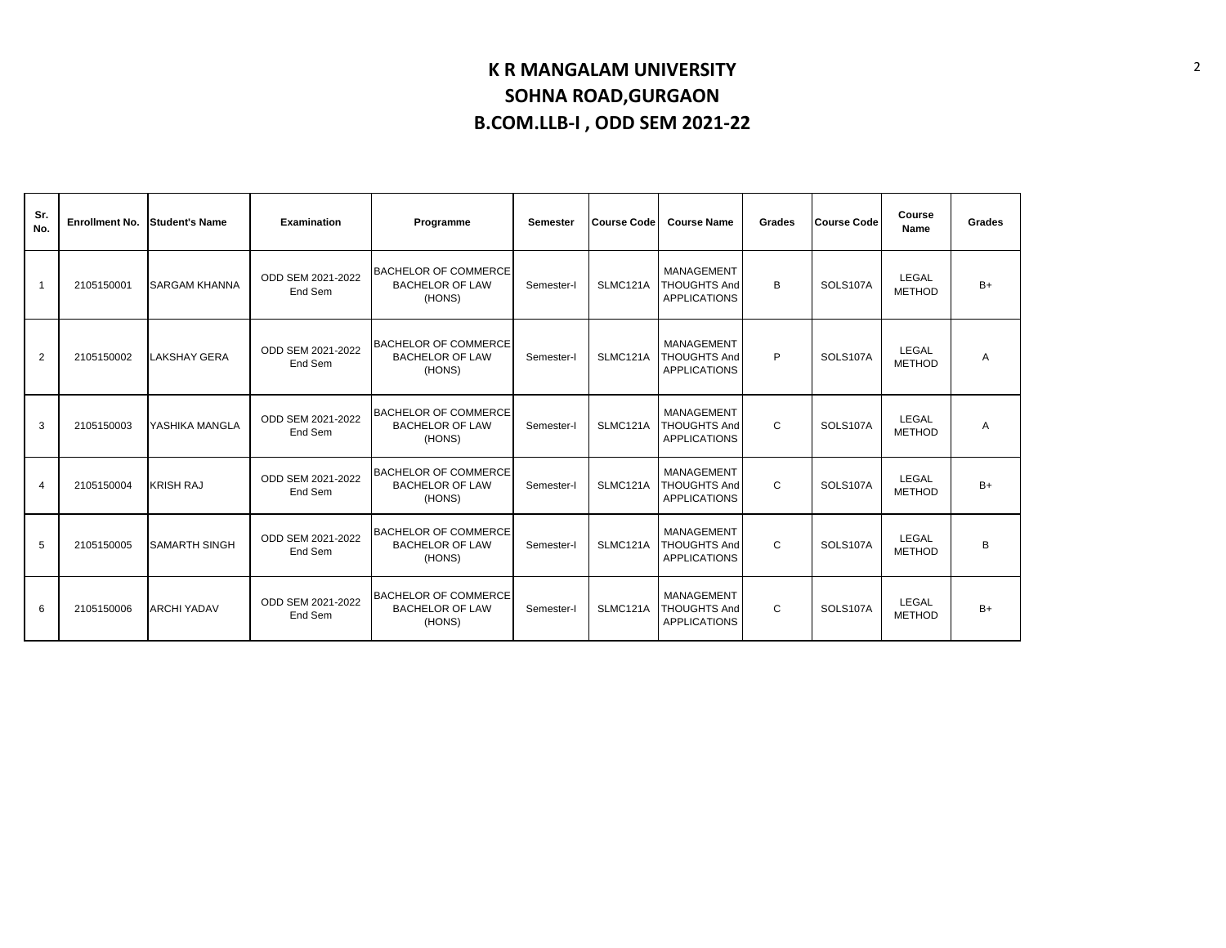| Sr.<br>No.           | <b>Enrollment No.</b> | <b>Student's Name</b> | Examination                  | Programme                                                       | <b>Semester</b> | <b>Course Code</b> | <b>Course Name</b>                                       | Grades | <b>Course Code</b> | Course<br>Name         | Grades |
|----------------------|-----------------------|-----------------------|------------------------------|-----------------------------------------------------------------|-----------------|--------------------|----------------------------------------------------------|--------|--------------------|------------------------|--------|
| $\blacktriangleleft$ | 2105150001            | <b>SARGAM KHANNA</b>  | ODD SEM 2021-2022<br>End Sem | <b>BACHELOR OF COMMERCE</b><br><b>BACHELOR OF LAW</b><br>(HONS) | Semester-I      | SLMC121A           | MANAGEMENT<br><b>THOUGHTS And</b><br><b>APPLICATIONS</b> | B      | SOLS107A           | LEGAL<br><b>METHOD</b> | $B+$   |
| 2                    | 2105150002            | <b>LAKSHAY GERA</b>   | ODD SEM 2021-2022<br>End Sem | <b>BACHELOR OF COMMERCE</b><br><b>BACHELOR OF LAW</b><br>(HONS) | Semester-I      | SLMC121A           | MANAGEMENT<br><b>THOUGHTS And</b><br><b>APPLICATIONS</b> | P      | SOLS107A           | LEGAL<br><b>METHOD</b> | A      |
| 3                    | 2105150003            | YASHIKA MANGLA        | ODD SEM 2021-2022<br>End Sem | <b>BACHELOR OF COMMERCE</b><br><b>BACHELOR OF LAW</b><br>(HONS) | Semester-I      | SLMC121A           | MANAGEMENT<br><b>THOUGHTS And</b><br><b>APPLICATIONS</b> | C      | SOLS107A           | LEGAL<br><b>METHOD</b> | A      |
| $\overline{4}$       | 2105150004            | <b>KRISH RAJ</b>      | ODD SEM 2021-2022<br>End Sem | <b>BACHELOR OF COMMERCE</b><br><b>BACHELOR OF LAW</b><br>(HONS) | Semester-I      | SLMC121A           | MANAGEMENT<br><b>THOUGHTS And</b><br><b>APPLICATIONS</b> | C      | SOLS107A           | LEGAL<br><b>METHOD</b> | $B+$   |
| 5                    | 2105150005            | <b>SAMARTH SINGH</b>  | ODD SEM 2021-2022<br>End Sem | <b>BACHELOR OF COMMERCE</b><br><b>BACHELOR OF LAW</b><br>(HONS) | Semester-I      | SLMC121A           | MANAGEMENT<br><b>THOUGHTS And</b><br><b>APPLICATIONS</b> | C      | SOLS107A           | LEGAL<br><b>METHOD</b> | B      |
| 6                    | 2105150006            | <b>ARCHI YADAV</b>    | ODD SEM 2021-2022<br>End Sem | <b>BACHELOR OF COMMERCE</b><br><b>BACHELOR OF LAW</b><br>(HONS) | Semester-I      | SLMC121A           | MANAGEMENT<br><b>THOUGHTS And</b><br><b>APPLICATIONS</b> | C      | SOLS107A           | LEGAL<br><b>METHOD</b> | $B+$   |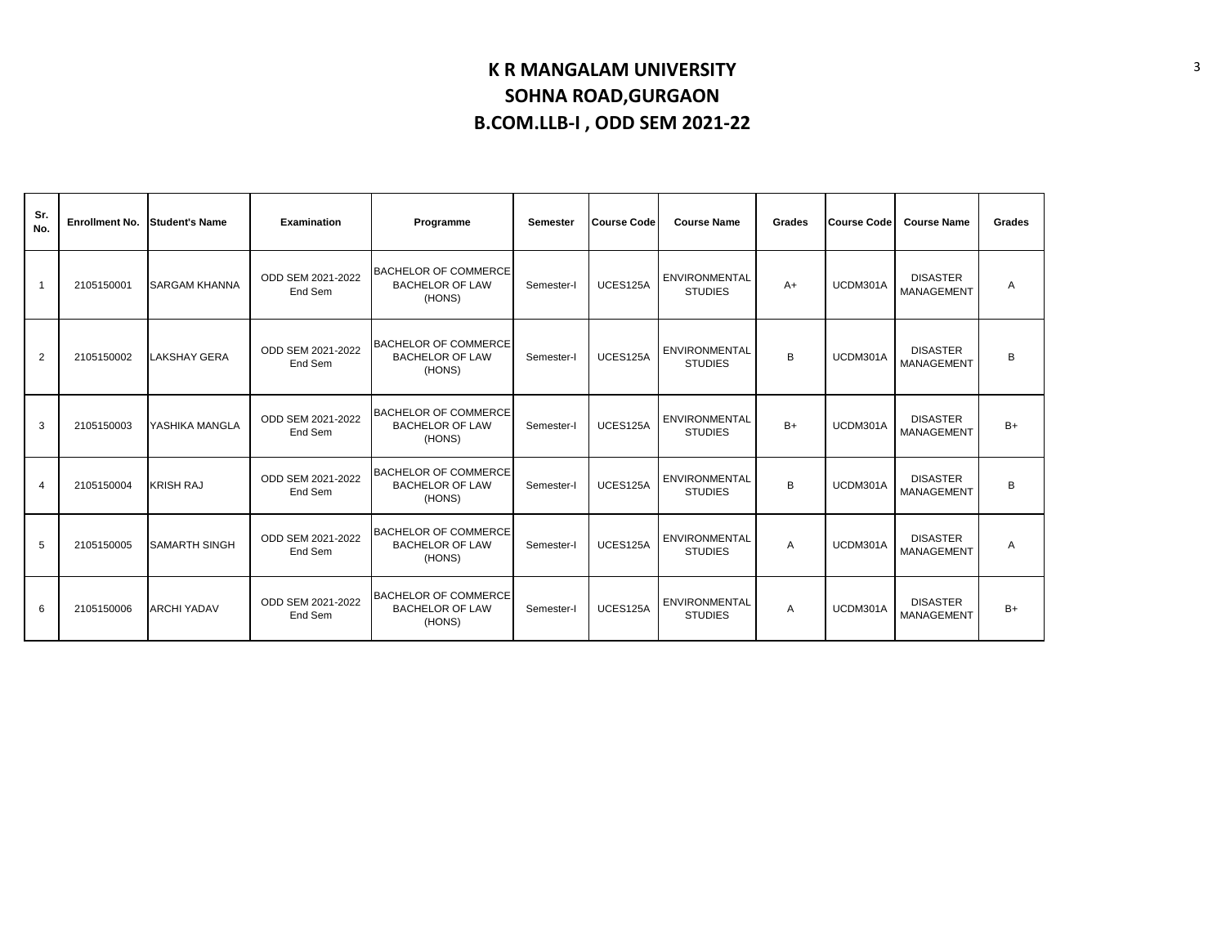| Sr.<br>No.     | <b>Enrollment No.</b> | <b>Student's Name</b> | Examination                  | Programme                                                       | <b>Semester</b> | <b>Course Code</b> | <b>Course Name</b>                     | Grades | <b>Course Code</b> | <b>Course Name</b>                   | Grades |
|----------------|-----------------------|-----------------------|------------------------------|-----------------------------------------------------------------|-----------------|--------------------|----------------------------------------|--------|--------------------|--------------------------------------|--------|
|                | 2105150001            | <b>SARGAM KHANNA</b>  | ODD SEM 2021-2022<br>End Sem | <b>BACHELOR OF COMMERCE</b><br><b>BACHELOR OF LAW</b><br>(HONS) | Semester-I      | UCES125A           | <b>ENVIRONMENTAL</b><br><b>STUDIES</b> | $A+$   | UCDM301A           | <b>DISASTER</b><br><b>MANAGEMENT</b> | A      |
| $\overline{2}$ | 2105150002            | LAKSHAY GERA          | ODD SEM 2021-2022<br>End Sem | <b>BACHELOR OF COMMERCE</b><br><b>BACHELOR OF LAW</b><br>(HONS) | Semester-I      | UCES125A           | <b>ENVIRONMENTAL</b><br><b>STUDIES</b> | B      | UCDM301A           | <b>DISASTER</b><br>MANAGEMENT        | B      |
| 3              | 2105150003            | YASHIKA MANGLA        | ODD SEM 2021-2022<br>End Sem | <b>BACHELOR OF COMMERCE</b><br><b>BACHELOR OF LAW</b><br>(HONS) | Semester-I      | UCES125A           | ENVIRONMENTAL<br><b>STUDIES</b>        | $B+$   | UCDM301A           | <b>DISASTER</b><br><b>MANAGEMENT</b> | $B+$   |
| $\overline{4}$ | 2105150004            | <b>KRISH RAJ</b>      | ODD SEM 2021-2022<br>End Sem | <b>BACHELOR OF COMMERCE</b><br><b>BACHELOR OF LAW</b><br>(HONS) | Semester-I      | UCES125A           | <b>ENVIRONMENTAL</b><br><b>STUDIES</b> | B      | UCDM301A           | <b>DISASTER</b><br>MANAGEMENT        | B      |
| 5              | 2105150005            | <b>SAMARTH SINGH</b>  | ODD SEM 2021-2022<br>End Sem | <b>BACHELOR OF COMMERCE</b><br><b>BACHELOR OF LAW</b><br>(HONS) | Semester-I      | UCES125A           | <b>ENVIRONMENTAL</b><br><b>STUDIES</b> | A      | UCDM301A           | <b>DISASTER</b><br><b>MANAGEMENT</b> | A      |
| 6              | 2105150006            | <b>ARCHI YADAV</b>    | ODD SEM 2021-2022<br>End Sem | <b>BACHELOR OF COMMERCE</b><br><b>BACHELOR OF LAW</b><br>(HONS) | Semester-I      | UCES125A           | <b>ENVIRONMENTAL</b><br><b>STUDIES</b> | A      | UCDM301A           | <b>DISASTER</b><br>MANAGEMENT        | $B+$   |